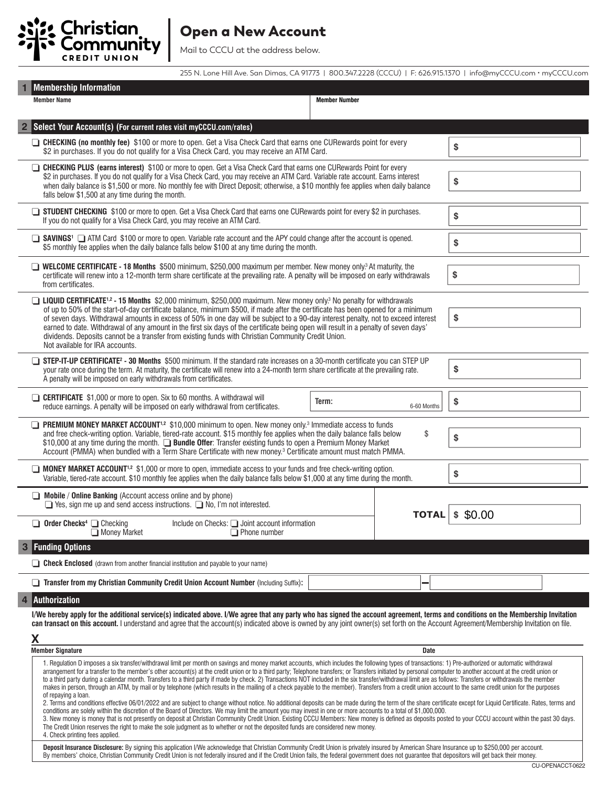

## Open a New Account

255 N. Lone Hill Ave. San Dimas, CA 91773 | 800.347.2228 (CCCU) | F: 626.915.1370 | info@myCCCU.com • myCCCU.com

|                                                                                                                                                                                                                                                                                                                                                                                                     | <b>Membership Information</b>                                                                                                                                                                                                                                                                                                                                                                                                                                                                                                                                                                                                                                                                                                                                                                                                                                                                                                                                                                                                                                                                                                                                                                                                                                                                                                                                                                                                                                                                                                                                                                                                                             |                                                                                                                                                                                                                  |              |        |  |  |  |  |
|-----------------------------------------------------------------------------------------------------------------------------------------------------------------------------------------------------------------------------------------------------------------------------------------------------------------------------------------------------------------------------------------------------|-----------------------------------------------------------------------------------------------------------------------------------------------------------------------------------------------------------------------------------------------------------------------------------------------------------------------------------------------------------------------------------------------------------------------------------------------------------------------------------------------------------------------------------------------------------------------------------------------------------------------------------------------------------------------------------------------------------------------------------------------------------------------------------------------------------------------------------------------------------------------------------------------------------------------------------------------------------------------------------------------------------------------------------------------------------------------------------------------------------------------------------------------------------------------------------------------------------------------------------------------------------------------------------------------------------------------------------------------------------------------------------------------------------------------------------------------------------------------------------------------------------------------------------------------------------------------------------------------------------------------------------------------------------|------------------------------------------------------------------------------------------------------------------------------------------------------------------------------------------------------------------|--------------|--------|--|--|--|--|
|                                                                                                                                                                                                                                                                                                                                                                                                     | <b>Member Name</b>                                                                                                                                                                                                                                                                                                                                                                                                                                                                                                                                                                                                                                                                                                                                                                                                                                                                                                                                                                                                                                                                                                                                                                                                                                                                                                                                                                                                                                                                                                                                                                                                                                        | <b>Member Number</b>                                                                                                                                                                                             |              |        |  |  |  |  |
|                                                                                                                                                                                                                                                                                                                                                                                                     | Select Your Account(s) (For current rates visit myCCCU.com/rates)                                                                                                                                                                                                                                                                                                                                                                                                                                                                                                                                                                                                                                                                                                                                                                                                                                                                                                                                                                                                                                                                                                                                                                                                                                                                                                                                                                                                                                                                                                                                                                                         |                                                                                                                                                                                                                  |              |        |  |  |  |  |
|                                                                                                                                                                                                                                                                                                                                                                                                     |                                                                                                                                                                                                                                                                                                                                                                                                                                                                                                                                                                                                                                                                                                                                                                                                                                                                                                                                                                                                                                                                                                                                                                                                                                                                                                                                                                                                                                                                                                                                                                                                                                                           | □ CHECKING (no monthly fee) \$100 or more to open. Get a Visa Check Card that earns one CURewards point for every<br>\$2 in purchases. If you do not qualify for a Visa Check Card, you may receive an ATM Card. |              |        |  |  |  |  |
|                                                                                                                                                                                                                                                                                                                                                                                                     | □ CHECKING PLUS (earns interest) \$100 or more to open. Get a Visa Check Card that earns one CURewards Point for every<br>\$2 in purchases. If you do not qualify for a Visa Check Card, you may receive an ATM Card. Variable rate account. Earns interest<br>when daily balance is \$1,500 or more. No monthly fee with Direct Deposit; otherwise, a \$10 monthly fee applies when daily balance<br>falls below \$1,500 at any time during the month.                                                                                                                                                                                                                                                                                                                                                                                                                                                                                                                                                                                                                                                                                                                                                                                                                                                                                                                                                                                                                                                                                                                                                                                                   | \$                                                                                                                                                                                                               |              |        |  |  |  |  |
|                                                                                                                                                                                                                                                                                                                                                                                                     | STUDENT CHECKING \$100 or more to open. Get a Visa Check Card that earns one CURewards point for every \$2 in purchases.<br>If you do not qualify for a Visa Check Card, you may receive an ATM Card.                                                                                                                                                                                                                                                                                                                                                                                                                                                                                                                                                                                                                                                                                                                                                                                                                                                                                                                                                                                                                                                                                                                                                                                                                                                                                                                                                                                                                                                     |                                                                                                                                                                                                                  |              |        |  |  |  |  |
|                                                                                                                                                                                                                                                                                                                                                                                                     | \$5 monthly fee applies when the daily balance falls below \$100 at any time during the month.                                                                                                                                                                                                                                                                                                                                                                                                                                                                                                                                                                                                                                                                                                                                                                                                                                                                                                                                                                                                                                                                                                                                                                                                                                                                                                                                                                                                                                                                                                                                                            | SAVINGS <sup>1</sup> ATM Card \$100 or more to open. Variable rate account and the APY could change after the account is opened.                                                                                 |              |        |  |  |  |  |
|                                                                                                                                                                                                                                                                                                                                                                                                     | ■ WELCOME CERTIFICATE - 18 Months \$500 minimum, \$250,000 maximum per member. New money only. <sup>3</sup> At maturity, the<br>certificate will renew into a 12-month term share certificate at the prevailing rate. A penalty will be imposed on early withdrawals<br>from certificates.                                                                                                                                                                                                                                                                                                                                                                                                                                                                                                                                                                                                                                                                                                                                                                                                                                                                                                                                                                                                                                                                                                                                                                                                                                                                                                                                                                | \$                                                                                                                                                                                                               |              |        |  |  |  |  |
|                                                                                                                                                                                                                                                                                                                                                                                                     | □ LIQUID CERTIFICATE <sup>1,2</sup> - 15 Months \$2,000 minimum, \$250,000 maximum. New money only <sup>3</sup> No penalty for withdrawals<br>of up to 50% of the start-of-day certificate balance, minimum \$500, if made after the certificate has been opened for a minimum<br>of seven days. Withdrawal amounts in excess of 50% in one day will be subject to a 90-day interest penalty, not to exceed interest<br>earned to date. Withdrawal of any amount in the first six days of the certificate being open will result in a penalty of seven days'<br>dividends. Deposits cannot be a transfer from existing funds with Christian Community Credit Union.<br>Not available for IRA accounts.                                                                                                                                                                                                                                                                                                                                                                                                                                                                                                                                                                                                                                                                                                                                                                                                                                                                                                                                                    | \$                                                                                                                                                                                                               |              |        |  |  |  |  |
|                                                                                                                                                                                                                                                                                                                                                                                                     | STEP-IT-UP CERTIFICATE <sup>2</sup> - 30 Months \$500 minimum. If the standard rate increases on a 30-month certificate you can STEP UP<br>your rate once during the term. At maturity, the certificate will renew into a 24-month term share certificate at the prevailing rate.<br>A penalty will be imposed on early withdrawals from certificates.                                                                                                                                                                                                                                                                                                                                                                                                                                                                                                                                                                                                                                                                                                                                                                                                                                                                                                                                                                                                                                                                                                                                                                                                                                                                                                    | \$                                                                                                                                                                                                               |              |        |  |  |  |  |
|                                                                                                                                                                                                                                                                                                                                                                                                     | <b>CERTIFICATE</b> \$1,000 or more to open. Six to 60 months. A withdrawal will<br>reduce earnings. A penalty will be imposed on early withdrawal from certificates.                                                                                                                                                                                                                                                                                                                                                                                                                                                                                                                                                                                                                                                                                                                                                                                                                                                                                                                                                                                                                                                                                                                                                                                                                                                                                                                                                                                                                                                                                      | Term:<br>6-60 Months                                                                                                                                                                                             |              |        |  |  |  |  |
|                                                                                                                                                                                                                                                                                                                                                                                                     | <b>PREMIUM MONEY MARKET ACCOUNT</b> <sup>1,2</sup> \$10,000 minimum to open. New money only. <sup>3</sup> Immediate access to funds<br>and free check-writing option. Variable, tiered-rate account. \$15 monthly fee applies when the daily balance falls below<br>\$10,000 at any time during the month. <b>Bundle Offer:</b> Transfer existing funds to open a Premium Money Market<br>Account (PMMA) when bundled with a Term Share Certificate with new money. <sup>3</sup> Certificate amount must match PMMA.                                                                                                                                                                                                                                                                                                                                                                                                                                                                                                                                                                                                                                                                                                                                                                                                                                                                                                                                                                                                                                                                                                                                      | \$                                                                                                                                                                                                               |              |        |  |  |  |  |
|                                                                                                                                                                                                                                                                                                                                                                                                     | ■ MONEY MARKET ACCOUNT <sup>1,2</sup> \$1,000 or more to open, immediate access to your funds and free check-writing option.                                                                                                                                                                                                                                                                                                                                                                                                                                                                                                                                                                                                                                                                                                                                                                                                                                                                                                                                                                                                                                                                                                                                                                                                                                                                                                                                                                                                                                                                                                                              | Variable, tiered-rate account. \$10 monthly fee applies when the daily balance falls below \$1,000 at any time during the month.                                                                                 |              |        |  |  |  |  |
|                                                                                                                                                                                                                                                                                                                                                                                                     | $\Box$ Mobile / Online Banking (Account access online and by phone)<br>$\Box$ Yes, sign me up and send access instructions. $\Box$ No, I'm not interested.                                                                                                                                                                                                                                                                                                                                                                                                                                                                                                                                                                                                                                                                                                                                                                                                                                                                                                                                                                                                                                                                                                                                                                                                                                                                                                                                                                                                                                                                                                |                                                                                                                                                                                                                  | <b>TOTAL</b> | \$0.00 |  |  |  |  |
|                                                                                                                                                                                                                                                                                                                                                                                                     | $\Box$ Order Checks <sup>4</sup> $\Box$ Checking<br>Money Market<br>$\Box$ Phone number                                                                                                                                                                                                                                                                                                                                                                                                                                                                                                                                                                                                                                                                                                                                                                                                                                                                                                                                                                                                                                                                                                                                                                                                                                                                                                                                                                                                                                                                                                                                                                   | Include on Checks: $\Box$ Joint account information                                                                                                                                                              |              |        |  |  |  |  |
| 3                                                                                                                                                                                                                                                                                                                                                                                                   | <b>Funding Options</b>                                                                                                                                                                                                                                                                                                                                                                                                                                                                                                                                                                                                                                                                                                                                                                                                                                                                                                                                                                                                                                                                                                                                                                                                                                                                                                                                                                                                                                                                                                                                                                                                                                    |                                                                                                                                                                                                                  |              |        |  |  |  |  |
|                                                                                                                                                                                                                                                                                                                                                                                                     | <b>Check Enclosed</b> (drawn from another financial institution and payable to your name)                                                                                                                                                                                                                                                                                                                                                                                                                                                                                                                                                                                                                                                                                                                                                                                                                                                                                                                                                                                                                                                                                                                                                                                                                                                                                                                                                                                                                                                                                                                                                                 |                                                                                                                                                                                                                  |              |        |  |  |  |  |
|                                                                                                                                                                                                                                                                                                                                                                                                     | Transfer from my Christian Community Credit Union Account Number (Including Suffix):                                                                                                                                                                                                                                                                                                                                                                                                                                                                                                                                                                                                                                                                                                                                                                                                                                                                                                                                                                                                                                                                                                                                                                                                                                                                                                                                                                                                                                                                                                                                                                      |                                                                                                                                                                                                                  |              |        |  |  |  |  |
|                                                                                                                                                                                                                                                                                                                                                                                                     | <b>Authorization</b>                                                                                                                                                                                                                                                                                                                                                                                                                                                                                                                                                                                                                                                                                                                                                                                                                                                                                                                                                                                                                                                                                                                                                                                                                                                                                                                                                                                                                                                                                                                                                                                                                                      |                                                                                                                                                                                                                  |              |        |  |  |  |  |
|                                                                                                                                                                                                                                                                                                                                                                                                     | I/We hereby apply for the additional service(s) indicated above. I/We agree that any party who has signed the account agreement, terms and conditions on the Membership Invitation<br>can transact on this account. I understand and agree that the account(s) indicated above is owned by any joint owner(s) set forth on the Account Agreement/Membership Invitation on file.                                                                                                                                                                                                                                                                                                                                                                                                                                                                                                                                                                                                                                                                                                                                                                                                                                                                                                                                                                                                                                                                                                                                                                                                                                                                           |                                                                                                                                                                                                                  |              |        |  |  |  |  |
|                                                                                                                                                                                                                                                                                                                                                                                                     | Χ                                                                                                                                                                                                                                                                                                                                                                                                                                                                                                                                                                                                                                                                                                                                                                                                                                                                                                                                                                                                                                                                                                                                                                                                                                                                                                                                                                                                                                                                                                                                                                                                                                                         |                                                                                                                                                                                                                  | Date         |        |  |  |  |  |
|                                                                                                                                                                                                                                                                                                                                                                                                     | <b>Member Signature</b>                                                                                                                                                                                                                                                                                                                                                                                                                                                                                                                                                                                                                                                                                                                                                                                                                                                                                                                                                                                                                                                                                                                                                                                                                                                                                                                                                                                                                                                                                                                                                                                                                                   |                                                                                                                                                                                                                  |              |        |  |  |  |  |
|                                                                                                                                                                                                                                                                                                                                                                                                     | 1. Regulation D imposes a six transfer/withdrawal limit per month on savings and money market accounts, which includes the following types of transactions: 1) Pre-authorized or automatic withdrawal<br>arrangement for a transfer to the member's other account(s) at the credit union or to a third party; Telephone transfers; or Transfers initiated by personal computer to another account at the credit union or<br>to a third party during a calendar month. Transfers to a third party if made by check. 2) Transactions NOT included in the six transfer/withdrawal limit are as follows: Transfers or withdrawals the member<br>makes in person, through an ATM, by mail or by telephone (which results in the mailing of a check payable to the member). Transfers from a credit union account to the same credit union for the purposes<br>of repaying a loan.<br>2. Terms and conditions effective 06/01/2022 and are subject to change without notice. No additional deposits can be made during the term of the share certificate except for Liquid Certificate. Rates, terms and<br>conditions are solely within the discretion of the Board of Directors. We may limit the amount you may invest in one or more accounts to a total of \$1,000,000.<br>3. New money is money that is not presently on deposit at Christian Community Credit Union. Existing CCCU Members: New money is defined as deposits posted to your CCCU account within the past 30 days.<br>The Credit Union reserves the right to make the sole judgment as to whether or not the deposited funds are considered new money.<br>4. Check printing fees applied. |                                                                                                                                                                                                                  |              |        |  |  |  |  |
| Deposit Insurance Disclosure: By signing this application I/We acknowledge that Christian Community Credit Union is privately insured by American Share Insurance up to \$250,000 per account.<br>By members' choice, Christian Community Credit Union is not federally insured and if the Credit Union fails, the federal government does not guarantee that depositors will get back their money. |                                                                                                                                                                                                                                                                                                                                                                                                                                                                                                                                                                                                                                                                                                                                                                                                                                                                                                                                                                                                                                                                                                                                                                                                                                                                                                                                                                                                                                                                                                                                                                                                                                                           |                                                                                                                                                                                                                  |              |        |  |  |  |  |